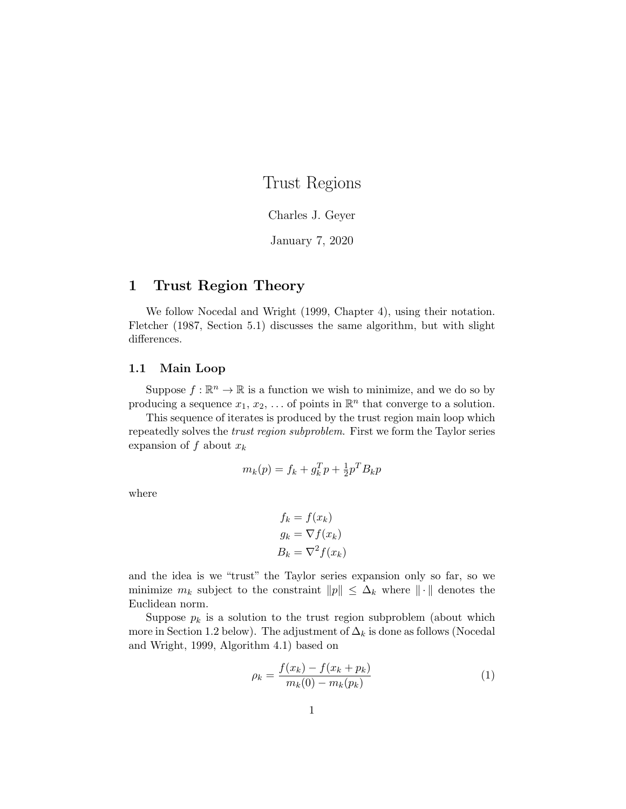# Trust Regions

### Charles J. Geyer

January 7, 2020

# 1 Trust Region Theory

We follow Nocedal and Wright (1999, Chapter 4), using their notation. Fletcher (1987, Section 5.1) discusses the same algorithm, but with slight differences.

## 1.1 Main Loop

Suppose  $f : \mathbb{R}^n \to \mathbb{R}$  is a function we wish to minimize, and we do so by producing a sequence  $x_1, x_2, \ldots$  of points in  $\mathbb{R}^n$  that converge to a solution.

This sequence of iterates is produced by the trust region main loop which repeatedly solves the trust region subproblem. First we form the Taylor series expansion of f about  $x_k$ 

$$
m_k(p) = f_k + g_k^T p + \frac{1}{2} p^T B_k p
$$

where

$$
f_k = f(x_k)
$$
  
\n
$$
g_k = \nabla f(x_k)
$$
  
\n
$$
B_k = \nabla^2 f(x_k)
$$

and the idea is we "trust" the Taylor series expansion only so far, so we minimize  $m_k$  subject to the constraint  $||p|| \leq \Delta_k$  where  $||\cdot||$  denotes the Euclidean norm.

Suppose  $p_k$  is a solution to the trust region subproblem (about which more in Section 1.2 below). The adjustment of  $\Delta_k$  is done as follows (Nocedal and Wright, 1999, Algorithm 4.1) based on

$$
\rho_k = \frac{f(x_k) - f(x_k + p_k)}{m_k(0) - m_k(p_k)}\tag{1}
$$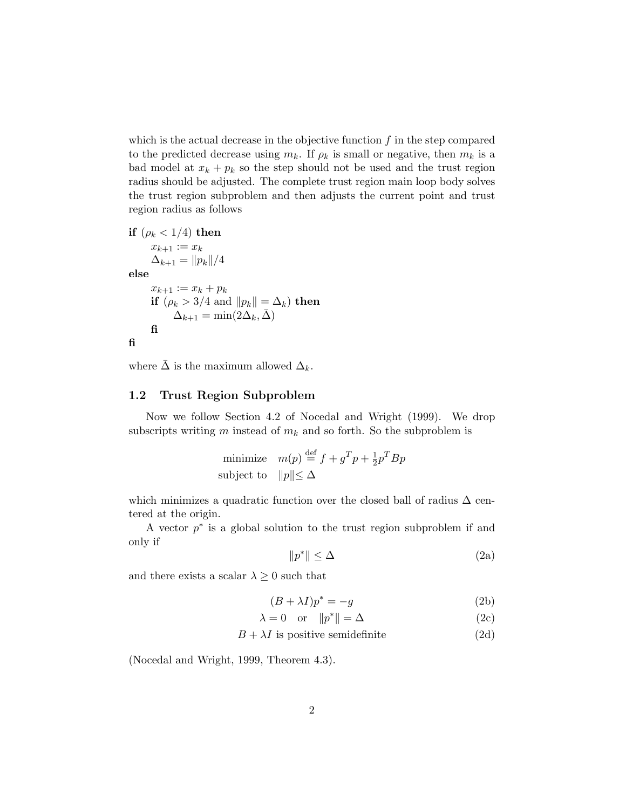which is the actual decrease in the objective function  $f$  in the step compared to the predicted decrease using  $m_k$ . If  $\rho_k$  is small or negative, then  $m_k$  is a bad model at  $x_k + p_k$  so the step should not be used and the trust region radius should be adjusted. The complete trust region main loop body solves the trust region subproblem and then adjusts the current point and trust region radius as follows

if  $(\rho_k < 1/4)$  then  $x_{k+1} := x_k$  $\Delta_{k+1} = ||p_k||/4$ else  $x_{k+1} := x_k + p_k$ if  $(\rho_k > 3/4$  and  $||p_k|| = \Delta_k$ ) then  $\Delta_{k+1} = \min(2\Delta_k, \bar{\Delta})$ fi fi

where  $\bar{\Delta}$  is the maximum allowed  $\Delta_k$ .

# 1.2 Trust Region Subproblem

Now we follow Section 4.2 of Nocedal and Wright (1999). We drop subscripts writing m instead of  $m_k$  and so forth. So the subproblem is

minimize 
$$
m(p) \stackrel{\text{def}}{=} f + g^T p + \frac{1}{2} p^T B p
$$
  
subject to  $||p|| \le \Delta$ 

which minimizes a quadratic function over the closed ball of radius  $\Delta$  centered at the origin.

A vector  $p^*$  is a global solution to the trust region subproblem if and only if

$$
||p^*|| \le \Delta \tag{2a}
$$

and there exists a scalar  $\lambda \geq 0$  such that

$$
(B + \lambda I)p^* = -g \tag{2b}
$$

$$
\lambda = 0 \quad \text{or} \quad ||p^*|| = \Delta \tag{2c}
$$

$$
B + \lambda I
$$
 is positive semidefinite (2d)

(Nocedal and Wright, 1999, Theorem 4.3).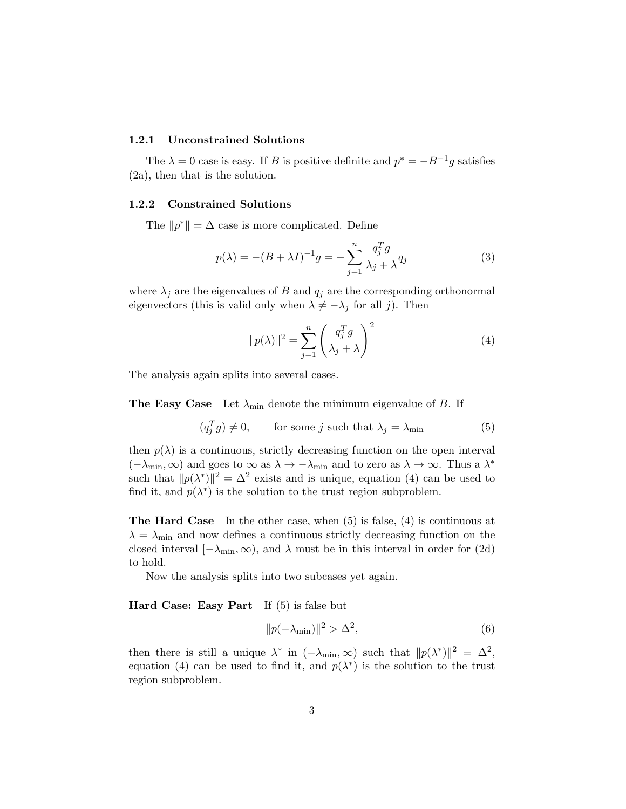#### 1.2.1 Unconstrained Solutions

The  $\lambda = 0$  case is easy. If B is positive definite and  $p^* = -B^{-1}g$  satisfies (2a), then that is the solution.

#### 1.2.2 Constrained Solutions

The  $||p^*|| = \Delta$  case is more complicated. Define

$$
p(\lambda) = -(B + \lambda I)^{-1}g = -\sum_{j=1}^{n} \frac{q_j^T g}{\lambda_j + \lambda} q_j \tag{3}
$$

where  $\lambda_j$  are the eigenvalues of B and  $q_j$  are the corresponding orthonormal eigenvectors (this is valid only when  $\lambda \neq -\lambda_j$  for all j). Then

$$
||p(\lambda)||^2 = \sum_{j=1}^n \left(\frac{q_j^T g}{\lambda_j + \lambda}\right)^2
$$
 (4)

The analysis again splits into several cases.

**The Easy Case** Let  $\lambda_{\min}$  denote the minimum eigenvalue of B. If

$$
(q_j^T g) \neq 0, \qquad \text{for some } j \text{ such that } \lambda_j = \lambda_{\min} \tag{5}
$$

then  $p(\lambda)$  is a continuous, strictly decreasing function on the open interval  $(-\lambda_{\min}, \infty)$  and goes to  $\infty$  as  $\lambda \to -\lambda_{\min}$  and to zero as  $\lambda \to \infty$ . Thus a  $\lambda^*$ such that  $||p(\lambda^*)||^2 = \Delta^2$  exists and is unique, equation (4) can be used to find it, and  $p(\lambda^*)$  is the solution to the trust region subproblem.

The Hard Case In the other case, when (5) is false, (4) is continuous at  $\lambda = \lambda_{\min}$  and now defines a continuous strictly decreasing function on the closed interval  $[-\lambda_{\min}, \infty)$ , and  $\lambda$  must be in this interval in order for (2d) to hold.

Now the analysis splits into two subcases yet again.

Hard Case: Easy Part If (5) is false but

$$
||p(-\lambda_{\min})||^2 > \Delta^2,\tag{6}
$$

then there is still a unique  $\lambda^*$  in  $(-\lambda_{\min}, \infty)$  such that  $||p(\lambda^*)||^2 = \Delta^2$ , equation (4) can be used to find it, and  $p(\lambda^*)$  is the solution to the trust region subproblem.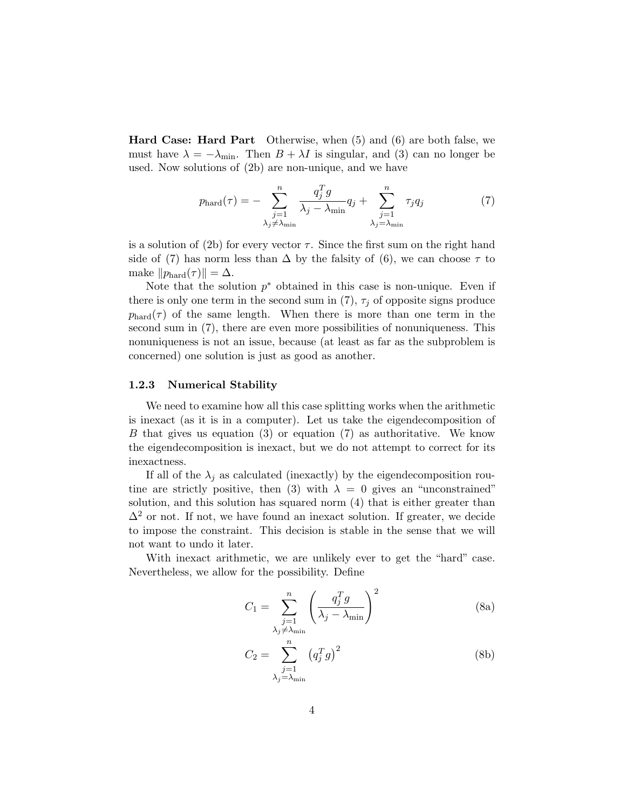Hard Case: Hard Part Otherwise, when (5) and (6) are both false, we must have  $\lambda = -\lambda_{\min}$ . Then  $B + \lambda I$  is singular, and (3) can no longer be used. Now solutions of (2b) are non-unique, and we have

$$
p_{\text{hard}}(\tau) = -\sum_{\substack{j=1 \ \lambda_j \neq \lambda_{\text{min}}}}^n \frac{q_j^T g}{\lambda_j - \lambda_{\text{min}}} q_j + \sum_{\substack{j=1 \ \lambda_j = \lambda_{\text{min}}}}^n \tau_j q_j \tag{7}
$$

is a solution of (2b) for every vector  $\tau$ . Since the first sum on the right hand side of (7) has norm less than  $\Delta$  by the falsity of (6), we can choose  $\tau$  to make  $||p_{\text{hard}}(\tau)|| = \Delta$ .

Note that the solution  $p^*$  obtained in this case is non-unique. Even if there is only one term in the second sum in (7),  $\tau_i$  of opposite signs produce  $p_{\text{hard}}(\tau)$  of the same length. When there is more than one term in the second sum in (7), there are even more possibilities of nonuniqueness. This nonuniqueness is not an issue, because (at least as far as the subproblem is concerned) one solution is just as good as another.

#### 1.2.3 Numerical Stability

We need to examine how all this case splitting works when the arithmetic is inexact (as it is in a computer). Let us take the eigendecomposition of B that gives us equation (3) or equation (7) as authoritative. We know the eigendecomposition is inexact, but we do not attempt to correct for its inexactness.

If all of the  $\lambda_j$  as calculated (inexactly) by the eigendecomposition routine are strictly positive, then (3) with  $\lambda = 0$  gives an "unconstrained" solution, and this solution has squared norm (4) that is either greater than  $\Delta^2$  or not. If not, we have found an inexact solution. If greater, we decide to impose the constraint. This decision is stable in the sense that we will not want to undo it later.

With inexact arithmetic, we are unlikely ever to get the "hard" case. Nevertheless, we allow for the possibility. Define

$$
C_1 = \sum_{\substack{j=1 \ \lambda_j \neq \lambda_{\min}}}^{n} \left( \frac{q_j^T g}{\lambda_j - \lambda_{\min}} \right)^2
$$
 (8a)

$$
C_2 = \sum_{\substack{j=1 \ \lambda_j = \lambda_{\min}}}^n (q_j^T g)^2
$$
 (8b)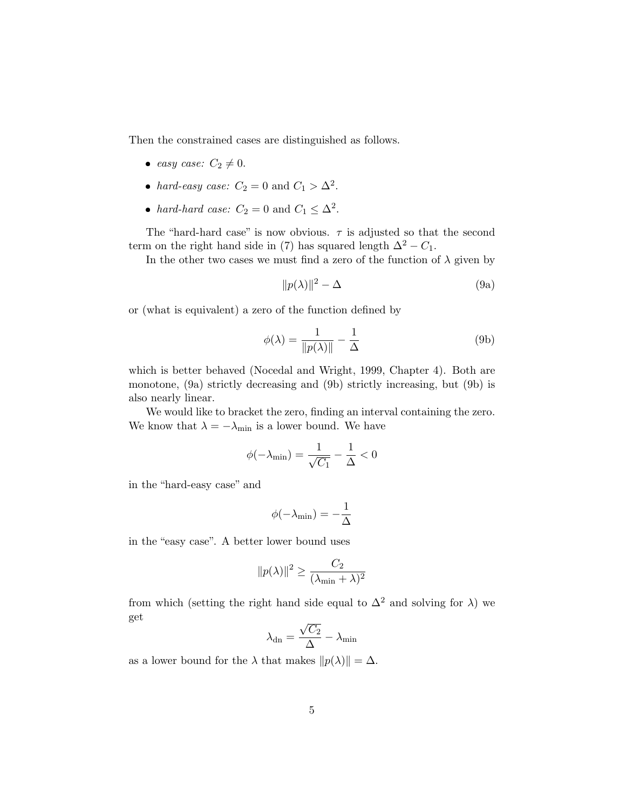Then the constrained cases are distinguished as follows.

- easy case:  $C_2 \neq 0$ .
- hard-easy case:  $C_2 = 0$  and  $C_1 > \Delta^2$ .
- hard-hard case:  $C_2 = 0$  and  $C_1 \leq \Delta^2$ .

The "hard-hard case" is now obvious.  $\tau$  is adjusted so that the second term on the right hand side in (7) has squared length  $\Delta^2 - C_1$ .

In the other two cases we must find a zero of the function of  $\lambda$  given by

$$
||p(\lambda)||^2 - \Delta \tag{9a}
$$

or (what is equivalent) a zero of the function defined by

$$
\phi(\lambda) = \frac{1}{\|p(\lambda)\|} - \frac{1}{\Delta} \tag{9b}
$$

which is better behaved (Nocedal and Wright, 1999, Chapter 4). Both are monotone, (9a) strictly decreasing and (9b) strictly increasing, but (9b) is also nearly linear.

We would like to bracket the zero, finding an interval containing the zero. We know that  $\lambda = -\lambda_{\min}$  is a lower bound. We have

$$
\phi(-\lambda_{\min}) = \frac{1}{\sqrt{C_1}} - \frac{1}{\Delta} < 0
$$

in the "hard-easy case" and

$$
\phi(-\lambda_{\min})=-\frac{1}{\Delta}
$$

in the "easy case". A better lower bound uses

$$
||p(\lambda)||^2 \ge \frac{C_2}{(\lambda_{\min} + \lambda)^2}
$$

from which (setting the right hand side equal to  $\Delta^2$  and solving for  $\lambda$ ) we get √

$$
\lambda_{\rm dn} = \frac{\sqrt{C_2}}{\Delta} - \lambda_{\rm min}
$$

as a lower bound for the  $\lambda$  that makes  $||p(\lambda)|| = \Delta$ .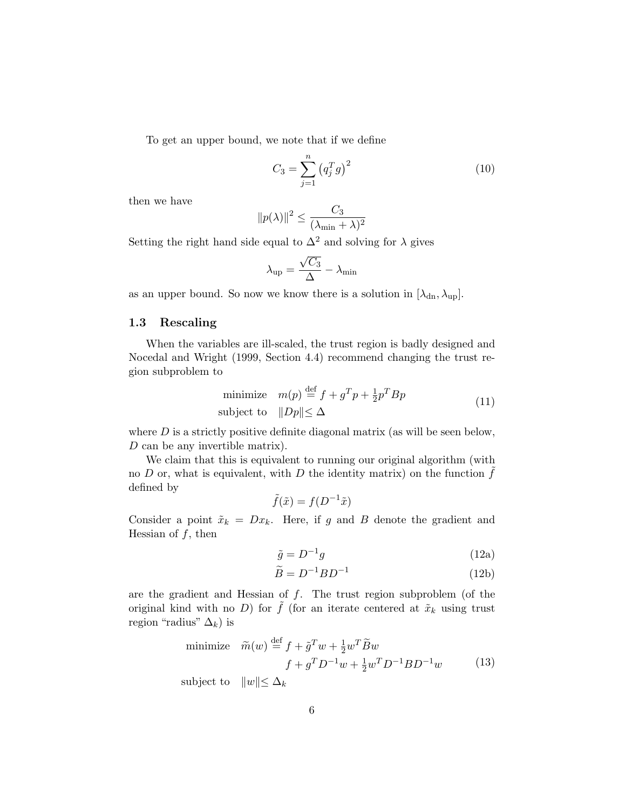To get an upper bound, we note that if we define

$$
C_3 = \sum_{j=1}^{n} (q_j^T g)^2
$$
 (10)

then we have

$$
||p(\lambda)||^2 \le \frac{C_3}{(\lambda_{\min} + \lambda)^2}
$$

Setting the right hand side equal to  $\Delta^2$  and solving for  $\lambda$  gives

$$
\lambda_{\rm up} = \frac{\sqrt{C_3}}{\Delta} - \lambda_{\rm min}
$$

as an upper bound. So now we know there is a solution in  $[\lambda_{dn}, \lambda_{up}]$ .

## 1.3 Rescaling

When the variables are ill-scaled, the trust region is badly designed and Nocedal and Wright (1999, Section 4.4) recommend changing the trust region subproblem to

minimize 
$$
m(p) \stackrel{\text{def}}{=} f + g^T p + \frac{1}{2} p^T B p
$$
  
subject to  $||Dp|| \le \Delta$  (11)

where  $D$  is a strictly positive definite diagonal matrix (as will be seen below, D can be any invertible matrix).

We claim that this is equivalent to running our original algorithm (with no  $D$  or, what is equivalent, with  $D$  the identity matrix) on the function  $f$ defined by

$$
\tilde{f}(\tilde{x}) = f(D^{-1}\tilde{x})
$$

Consider a point  $\tilde{x}_k = Dx_k$ . Here, if g and B denote the gradient and Hessian of  $f$ , then

$$
\tilde{g} = D^{-1}g \tag{12a}
$$

$$
\widetilde{B} = D^{-1} B D^{-1} \tag{12b}
$$

are the gradient and Hessian of  $f$ . The trust region subproblem (of the original kind with no D) for  $\tilde{f}$  (for an iterate centered at  $\tilde{x}_k$  using trust region "radius"  $\Delta_k$ ) is

minimize 
$$
\widetilde{m}(w) \stackrel{\text{def}}{=} f + \widetilde{g}^T w + \frac{1}{2} w^T \widetilde{B} w
$$
  
\n
$$
f + g^T D^{-1} w + \frac{1}{2} w^T D^{-1} B D^{-1} w \tag{13}
$$

subject to  $||w|| \leq \Delta_k$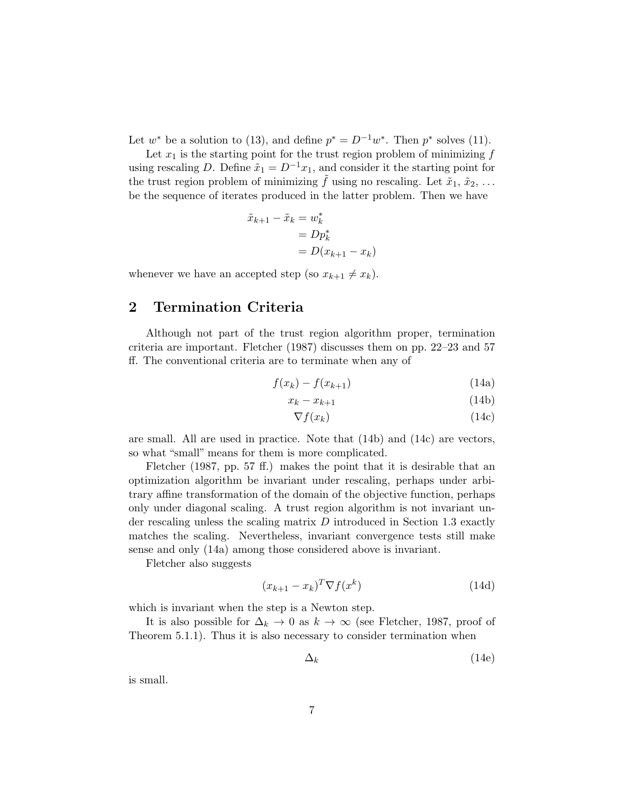Let  $w^*$  be a solution to (13), and define  $p^* = D^{-1}w^*$ . Then  $p^*$  solves (11).

Let  $x_1$  is the starting point for the trust region problem of minimizing  $f$ using rescaling D. Define  $\tilde{x}_1 = D^{-1}x_1$ , and consider it the starting point for the trust region problem of minimizing  $\tilde{f}$  using no rescaling. Let  $\tilde{x}_1, \tilde{x}_2, \ldots$ be the sequence of iterates produced in the latter problem. Then we have

$$
\tilde{x}_{k+1} - \tilde{x}_k = w_k^*
$$
  
= 
$$
Dp_k^*
$$
  
= 
$$
D(x_{k+1} - x_k)
$$

whenever we have an accepted step (so  $x_{k+1} \neq x_k$ ).

# 2 Termination Criteria

Although not part of the trust region algorithm proper, termination criteria are important. Fletcher (1987) discusses them on pp. 22–23 and 57 ff. The conventional criteria are to terminate when any of

$$
f(x_k) - f(x_{k+1}) \tag{14a}
$$

$$
x_k - x_{k+1} \tag{14b}
$$

$$
\nabla f(x_k) \tag{14c}
$$

are small. All are used in practice. Note that (14b) and (14c) are vectors, so what "small" means for them is more complicated.

Fletcher (1987, pp. 57 ff.) makes the point that it is desirable that an optimization algorithm be invariant under rescaling, perhaps under arbitrary affine transformation of the domain of the objective function, perhaps only under diagonal scaling. A trust region algorithm is not invariant under rescaling unless the scaling matrix  $D$  introduced in Section 1.3 exactly matches the scaling. Nevertheless, invariant convergence tests still make sense and only (14a) among those considered above is invariant.

Fletcher also suggests

$$
(x_{k+1} - x_k)^T \nabla f(x^k)
$$
\n(14d)

which is invariant when the step is a Newton step.

It is also possible for  $\Delta_k \to 0$  as  $k \to \infty$  (see Fletcher, 1987, proof of Theorem 5.1.1). Thus it is also necessary to consider termination when

$$
\Delta_k \tag{14e}
$$

is small.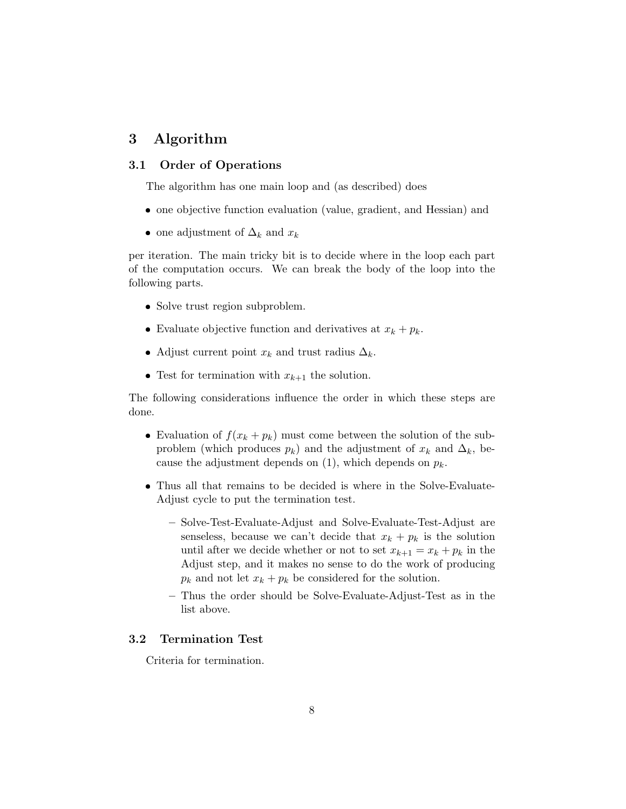# 3 Algorithm

# 3.1 Order of Operations

The algorithm has one main loop and (as described) does

- one objective function evaluation (value, gradient, and Hessian) and
- one adjustment of  $\Delta_k$  and  $x_k$

per iteration. The main tricky bit is to decide where in the loop each part of the computation occurs. We can break the body of the loop into the following parts.

- Solve trust region subproblem.
- Evaluate objective function and derivatives at  $x_k + p_k$ .
- Adjust current point  $x_k$  and trust radius  $\Delta_k$ .
- Test for termination with  $x_{k+1}$  the solution.

The following considerations influence the order in which these steps are done.

- Evaluation of  $f(x_k + p_k)$  must come between the solution of the subproblem (which produces  $p_k$ ) and the adjustment of  $x_k$  and  $\Delta_k$ , because the adjustment depends on  $(1)$ , which depends on  $p_k$ .
- Thus all that remains to be decided is where in the Solve-Evaluate-Adjust cycle to put the termination test.
	- Solve-Test-Evaluate-Adjust and Solve-Evaluate-Test-Adjust are senseless, because we can't decide that  $x_k + p_k$  is the solution until after we decide whether or not to set  $x_{k+1} = x_k + p_k$  in the Adjust step, and it makes no sense to do the work of producing  $p_k$  and not let  $x_k + p_k$  be considered for the solution.
	- Thus the order should be Solve-Evaluate-Adjust-Test as in the list above.

## 3.2 Termination Test

Criteria for termination.